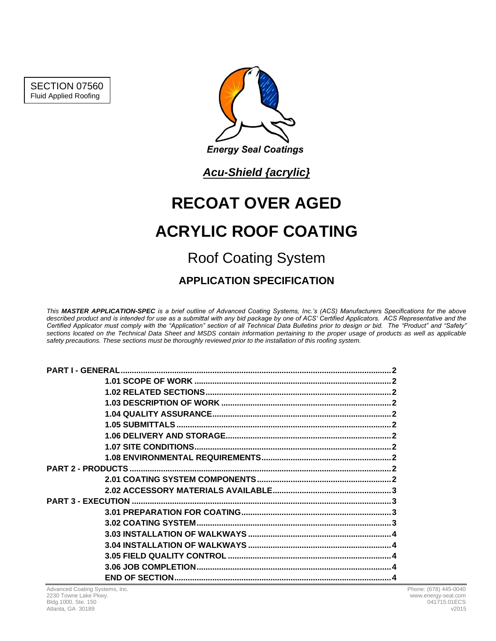SECTION 07560 Fluid Applied Roofing



*Acu-Shield {acrylic}*

# **RECOAT OVER AGED ACRYLIC ROOF COATING** Roof Coating System

**APPLICATION SPECIFICATION**

*This MASTER APPLICATION-SPEC is a brief outline of Advanced Coating Systems, Inc.'s (ACS) Manufacturers Specifications for the above*  described product and is intended for use as a submittal with any bid package by one of ACS' Certified Applicators. ACS Representative and the *Certified Applicator must comply with the "Application" section of all Technical Data Bulletins prior to design or bid. The "Product" and "Safety" sections located on the Technical Data Sheet and MSDS contain information pertaining to the proper usage of products as well as applicable safety precautions. These sections must be thoroughly reviewed prior to the installation of this roofing system.*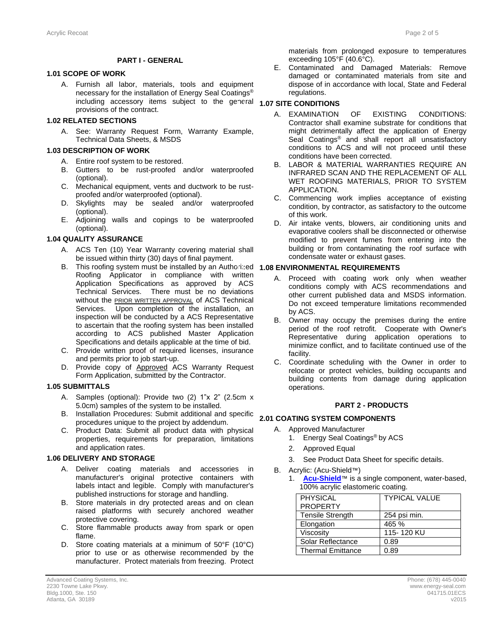#### **PART I - GENERAL**

# **1.1 1.01 SCOPE OF WORK**

A. Furnish all labor, materials, tools and equipment necessary for the installation of Energy Seal Coatings® including accessory items subject to the general **1.07 SITE CONDITIONS** provisions of the contract.

#### **1.2 1.02 RELATED SECTIONS**

A. See: Warranty Request Form, Warranty Example, Technical Data Sheets, & MSDS

#### **1.3 1.03 DESCRIPTION OF WORK**

- A. Entire roof system to be restored.
- B. Gutters to be rust-proofed and/or waterproofed (optional).
- C. Mechanical equipment, vents and ductwork to be rustproofed and/or waterproofed (optional).
- D. Skylights may be sealed and/or waterproofed (optional).
- E. Adjoining walls and copings to be waterproofed (optional).

#### **1.4 1.04 QUALITY ASSURANCE**

- A. ACS Ten (10) Year Warranty covering material shall be issued within thirty (30) days of final payment.
- B. This roofing system must be installed by an Authorized **1.8 1.08 ENVIRONMENTAL REQUIREMENTS** Roofing Applicator in compliance with written Application Specifications as approved by ACS Technical Services. There must be no deviations without the **PRIOR WRITTEN APPROVAL** of ACS Technical Services. Upon completion of the installation, an inspection will be conducted by a ACS Representative to ascertain that the roofing system has been installed according to ACS published Master Application Specifications and details applicable at the time of bid.
- C. Provide written proof of required licenses, insurance and permits prior to job start-up.
- D. Provide copy of Approved ACS Warranty Request Form Application, submitted by the Contractor.

#### **1.5 1.05 SUBMITTALS**

- A. Samples (optional): Provide two (2) 1"x 2" (2.5cm x 5.0cm) samples of the system to be installed.
- B. Installation Procedures: Submit additional and specific procedures unique to the project by addendum.
- C. Product Data: Submit all product data with physical properties, requirements for preparation, limitations and application rates.

#### **1.6 1.06 DELIVERY AND STORAGE**

- A. Deliver coating materials and accessories in manufacturer's original protective containers with labels intact and legible. Comply with manufacturer's published instructions for storage and handling.
- B. Store materials in dry protected areas and on clean raised platforms with securely anchored weather protective covering.
- C. Store flammable products away from spark or open flame.
- D. Store coating materials at a minimum of 50°F (10°C) prior to use or as otherwise recommended by the manufacturer. Protect materials from freezing. Protect

materials from prolonged exposure to temperatures exceeding 105°F (40.6°C).

E. Contaminated and Damaged Materials: Remove damaged or contaminated materials from site and dispose of in accordance with local, State and Federal regulations.

- A. EXAMINATION OF EXISTING CONDITIONS: Contractor shall examine substrate for conditions that might detrimentally affect the application of Energy Seal Coatings<sup>®</sup> and shall report all unsatisfactory conditions to ACS and will not proceed until these conditions have been corrected.
- B. LABOR & MATERIAL WARRANTIES REQUIRE AN INFRARED SCAN AND THE REPLACEMENT OF ALL WET ROOFING MATERIALS, PRIOR TO SYSTEM APPLICATION.
- C. Commencing work implies acceptance of existing condition, by contractor, as satisfactory to the outcome of this work.
- D. Air intake vents, blowers, air conditioning units and evaporative coolers shall be disconnected or otherwise modified to prevent fumes from entering into the building or from contaminating the roof surface with condensate water or exhaust gases.

- A. Proceed with coating work only when weather conditions comply with ACS recommendations and other current published data and MSDS information. Do not exceed temperature limitations recommended by ACS.
- B. Owner may occupy the premises during the entire period of the roof retrofit. Cooperate with Owner's Representative during application operations to minimize conflict, and to facilitate continued use of the facility.
- C. Coordinate scheduling with the Owner in order to relocate or protect vehicles, building occupants and building contents from damage during application operations.

### **2 PART 2 - PRODUCTS**

# **2.1 2.01 COATING SYSTEM COMPONENTS**

- A. Approved Manufacturer
	- 1. Energy Seal Coatings ® by ACS
	- 2. Approved Equal
	- 3. See Product Data Sheet for specific details.
- B. Acrylic: (Acu-Shield™)
	- 1. **[Acu-Shield](http://www.energy-seal.com/UserDyn/ACS/pdfs/acu-shield.pdf)**™ is a single component, water-based, 100% acrylic elastomeric coating.

| PHYSICAL                 | <b>TYPICAL VALUE</b> |
|--------------------------|----------------------|
| <b>PROPERTY</b>          |                      |
| <b>Tensile Strength</b>  | 254 psi min.         |
| Elongation               | 465 %                |
| Viscosity                | 115-120 KU           |
| Solar Reflectance        | 0.89                 |
| <b>Thermal Emittance</b> | 0.89                 |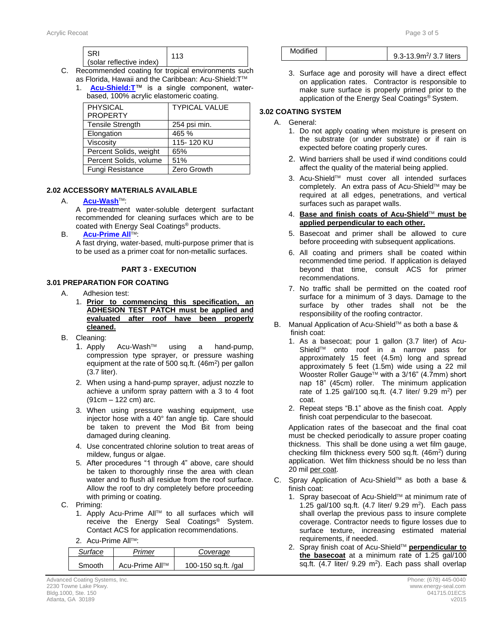| l SRI<br>(solar reflective index) |  |
|-----------------------------------|--|
|-----------------------------------|--|

- C. Recommended coating for tropical environments such as Florida, Hawaii and the Caribbean: Acu-Shield:T™
	- 1. **[Acu-Shield:T](http://www.energy-seal.com/UserDyn/ACS/pdfs/acu-shield-t.pdf)**™ is a single component, waterbased, 100% acrylic elastomeric coating.

| <b>PHYSICAL</b>         | <b>TYPICAL VALUE</b> |
|-------------------------|----------------------|
| <b>PROPERTY</b>         |                      |
| <b>Tensile Strength</b> | 254 psi min.         |
| Elongation              | 465 %                |
| Viscosity               | 115-120 KU           |
| Percent Solids, weight  | 65%                  |
| Percent Solids, volume  | 51%                  |
| Fungi Resistance        | Zero Growth          |

# **2.2 2.02 ACCESSORY MATERIALS AVAILABLE**

#### A. **[Acu-Wash](http://www.energy-seal.com/UserDyn/ACS/pdfs/acu-wash.pdf)**TM:

A pre-treatment water-soluble detergent surfactant recommended for cleaning surfaces which are to be coated with Energy Seal Coatings® products.

#### **B. [Acu-Prime](http://www.energy-seal.com/UserDyn/ACS/pdfs/acu-prime%20all.pdf) All™**

A fast drying, water-based, multi-purpose primer that is to be used as a primer coat for non-metallic surfaces.

### **3 PART 3 - EXECUTION**

#### **3.1 3.01 PREPARATION FOR COATING**

- A. Adhesion test:
	- 1. **Prior to commencing this specification, an ADHESION TEST PATCH must be applied and evaluated after roof have been properly cleaned.**
- B. Cleaning:
	- 1. Apply Acu-Wash™ using a hand-pump, compression type sprayer, or pressure washing equipment at the rate of 500 sq.ft.  $(46m^2)$  per gallon (3.7 liter).
	- 2. When using a hand-pump sprayer, adjust nozzle to achieve a uniform spray pattern with a 3 to 4 foot (91cm – 122 cm) arc.
	- 3. When using pressure washing equipment, use injector hose with a 40° fan angle tip. Care should be taken to prevent the Mod Bit from being damaged during cleaning.
	- 4. Use concentrated chlorine solution to treat areas of mildew, fungus or algae.
	- 5. After procedures "1 through 4" above, care should be taken to thoroughly rinse the area with clean water and to flush all residue from the roof surface. Allow the roof to dry completely before proceeding with priming or coating.
- C. Priming:
	- 1. Apply Acu-Prime AllTM to all surfaces which will receive the Energy Seal Coatings® System. Contact ACS for application recommendations.
	- 2. Acu-Prime All™:

| Surface | Primer         | Coverage            |
|---------|----------------|---------------------|
| Smooth  | Acu-Prime All™ | 100-150 sq.ft. /gal |

Advanced Coating Systems, Inc. Phone: (678) 445-0040 2230 Towne Lake Pkwy. www.energy-seal.com Bldg.1000, Ste. 150 041715.01ECS Atlanta, GA 30189 v2015

| Modified | $0.3 - 13.9$ m <sup>2</sup> / 3.7 liters |
|----------|------------------------------------------|
|          |                                          |
|          |                                          |

3. Surface age and porosity will have a direct effect on application rates. Contractor is responsible to make sure surface is properly primed prior to the application of the Energy Seal Coatings® System.

# **3.2 3.02 COATING SYSTEM**

## A. General:

- 1. Do not apply coating when moisture is present on the substrate (or under substrate) or if rain is expected before coating properly cures.
- 2. Wind barriers shall be used if wind conditions could affect the quality of the material being applied.
- 3. Acu-ShieldTM must cover all intended surfaces completely. An extra pass of Acu-Shield™ may be required at all edges, penetrations, and vertical surfaces such as parapet walls.
- 4. **Base and finish coats of Acu-Shield**TM **must be applied perpendicular to each other.**
- 5. Basecoat and primer shall be allowed to cure before proceeding with subsequent applications.
- 6. All coating and primers shall be coated within recommended time period. If application is delayed beyond that time, consult ACS for primer recommendations.
- 7. No traffic shall be permitted on the coated roof surface for a minimum of 3 days. Damage to the surface by other trades shall not be the responsibility of the roofing contractor.
- B. Manual Application of Acu-Shield™ as both a base & finish coat:
	- 1. As a basecoat; pour 1 gallon (3.7 liter) of Acu-ShieldTM onto roof in a narrow pass for approximately 15 feet (4.5m) long and spread approximately 5 feet (1.5m) wide using a 22 mil Wooster Roller Gauge™ with a 3/16" (4.7mm) short nap 18" (45cm) roller. The minimum application rate of 1.25 gal/100 sq.ft. (4.7 liter/ 9.29 m<sup>2</sup>) per coat.
	- 2. Repeat steps "B.1" above as the finish coat. Apply finish coat perpendicular to the basecoat.

Application rates of the basecoat and the final coat must be checked periodically to assure proper coating thickness. This shall be done using a wet film gauge, checking film thickness every 500 sq.ft. (46m<sup>2</sup>) during application. Wet film thickness should be no less than 20 mil per coat.

- C. Spray Application of Acu-Shield™ as both a base & finish coat:
	- 1. Spray basecoat of Acu-Shield™ at minimum rate of 1.25 gal/100 sq.ft. (4.7 liter/ 9.29 m<sup>2</sup>). Each pass shall overlap the previous pass to insure complete coverage. Contractor needs to figure losses due to surface texture, increasing estimated material requirements, if needed.
	- 2. Spray finish coat of Acu-ShieldTM **perpendicular to the basecoat** at a minimum rate of 1.25 gal/100 sq.ft.  $(4.7 \text{ liter}/ 9.29 \text{ m}^2)$ . Each pass shall overlap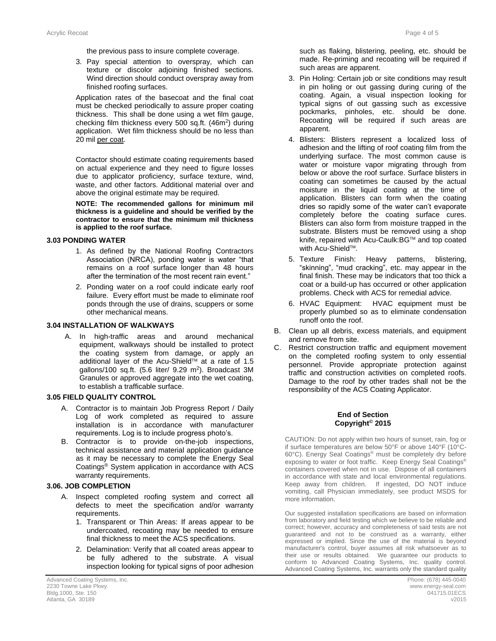the previous pass to insure complete coverage.

3. Pay special attention to overspray, which can texture or discolor adjoining finished sections. Wind direction should conduct overspray away from finished roofing surfaces.

Application rates of the basecoat and the final coat must be checked periodically to assure proper coating thickness. This shall be done using a wet film gauge, checking film thickness every 500 sq.ft. (46m<sup>2</sup>) during application. Wet film thickness should be no less than 20 mil per coat.

Contactor should estimate coating requirements based on actual experience and they need to figure losses due to applicator proficiency, surface texture, wind, waste, and other factors. Additional material over and above the original estimate may be required.

**NOTE: The recommended gallons for minimum mil thickness is a guideline and should be verified by the contractor to ensure that the minimum mil thickness is applied to the roof surface.** 

### **3.3 3.03 PONDING WATER**

- 1. As defined by the National Roofing Contractors Association (NRCA), ponding water is water "that remains on a roof surface longer than 48 hours after the termination of the most recent rain event."
- 2. Ponding water on a roof could indicate early roof failure. Every effort must be made to eliminate roof ponds through the use of drains, scuppers or some other mechanical means.

#### **3.04 INSTALLATION OF WALKWAYS**

A. In high-traffic areas and around mechanical equipment, walkways should be installed to protect the coating system from damage, or apply an additional layer of the Acu-Shield™ at a rate of 1.5 gallons/100 sq.ft.  $(5.6$  liter/  $9.29$  m<sup>2</sup>). Broadcast 3M Granules or approved aggregate into the wet coating, to establish a trafficable surface.

#### **3.4 3.05 FIELD QUALITY CONTROL**

- A. Contractor is to maintain Job Progress Report / Daily Log of work completed as required to assure installation is in accordance with manufacturer requirements. Log is to include progress photo's.
- B. Contractor is to provide on-the-job inspections, technical assistance and material application guidance as it may be necessary to complete the Energy Seal Coatings® System application in accordance with ACS warranty requirements.

# **3.5 3.06. JOB COMPLETION**

- A. Inspect completed roofing system and correct all defects to meet the specification and/or warranty requirements.
	- 1. Transparent or Thin Areas: If areas appear to be undercoated, recoating may be needed to ensure final thickness to meet the ACS specifications.
	- 2. Delamination: Verify that all coated areas appear to be fully adhered to the substrate. A visual inspection looking for typical signs of poor adhesion

such as flaking, blistering, peeling, etc. should be made. Re-priming and recoating will be required if such areas are apparent.

- 3. Pin Holing: Certain job or site conditions may result in pin holing or out gassing during curing of the coating. Again, a visual inspection looking for typical signs of out gassing such as excessive pockmarks, pinholes, etc. should be done. Recoating will be required if such areas are apparent.
- 4. Blisters: Blisters represent a localized loss of adhesion and the lifting of roof coating film from the underlying surface. The most common cause is water or moisture vapor migrating through from below or above the roof surface. Surface blisters in coating can sometimes be caused by the actual moisture in the liquid coating at the time of application. Blisters can form when the coating dries so rapidly some of the water can't evaporate completely before the coating surface cures. Blisters can also form from moisture trapped in the substrate. Blisters must be removed using a shop knife, repaired with Acu-Caulk:BG™ and top coated with Acu-Shield™.
- 5. Texture Finish: Heavy patterns, blistering, "skinning", "mud cracking", etc. may appear in the final finish. These may be indicators that too thick a coat or a build-up has occurred or other application problems. Check with ACS for remedial advice.
- 6. HVAC Equipment: HVAC equipment must be properly plumbed so as to eliminate condensation runoff onto the roof.
- B. Clean up all debris, excess materials, and equipment and remove from site.
- C. Restrict construction traffic and equipment movement on the completed roofing system to only essential personnel. Provide appropriate protection against traffic and construction activities on completed roofs. Damage to the roof by other trades shall not be the responsibility of the ACS Coating Applicator.

#### **End of Section Copyright© 2015**

CAUTION: Do not apply within two hours of sunset, rain, fog or if surface temperatures are below 50°F or above 140°F (10°C-60°C). Energy Seal Coatings® must be completely dry before exposing to water or foot traffic. Keep Energy Seal Coatings® containers covered when not in use. Dispose of all containers in accordance with state and local environmental regulations. Keep away from children. If ingested, DO NOT induce vomiting, call Physician immediately, see product MSDS for more information.

Our suggested installation specifications are based on information from laboratory and field testing which we believe to be reliable and correct; however, accuracy and completeness of said tests are not guaranteed and not to be construed as a warranty, either expressed or implied. Since the use of the material is beyond manufacturer's control, buyer assumes all risk whatsoever as to their use or results obtained. We guarantee our products to conform to Advanced Coating Systems, Inc. quality control. Advanced Coating Systems, Inc. warrants only the standard quality